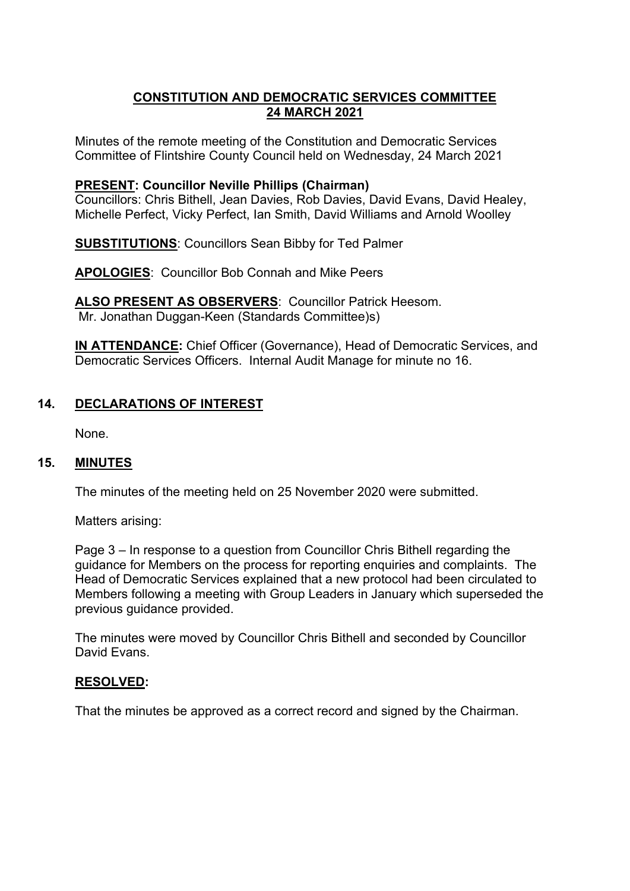# **CONSTITUTION AND DEMOCRATIC SERVICES COMMITTEE 24 MARCH 2021**

Minutes of the remote meeting of the Constitution and Democratic Services Committee of Flintshire County Council held on Wednesday, 24 March 2021

### **PRESENT: Councillor Neville Phillips (Chairman)**

Councillors: Chris Bithell, Jean Davies, Rob Davies, David Evans, David Healey, Michelle Perfect, Vicky Perfect, Ian Smith, David Williams and Arnold Woolley

**SUBSTITUTIONS**: Councillors Sean Bibby for Ted Palmer

**APOLOGIES**: Councillor Bob Connah and Mike Peers

**ALSO PRESENT AS OBSERVERS**: Councillor Patrick Heesom. Mr. Jonathan Duggan-Keen (Standards Committee)s)

**IN ATTENDANCE:** Chief Officer (Governance), Head of Democratic Services, and Democratic Services Officers. Internal Audit Manage for minute no 16.

# **14. DECLARATIONS OF INTEREST**

None.

### **15. MINUTES**

The minutes of the meeting held on 25 November 2020 were submitted.

Matters arising:

Page 3 – In response to a question from Councillor Chris Bithell regarding the guidance for Members on the process for reporting enquiries and complaints. The Head of Democratic Services explained that a new protocol had been circulated to Members following a meeting with Group Leaders in January which superseded the previous guidance provided.

The minutes were moved by Councillor Chris Bithell and seconded by Councillor David Evans.

### **RESOLVED:**

That the minutes be approved as a correct record and signed by the Chairman.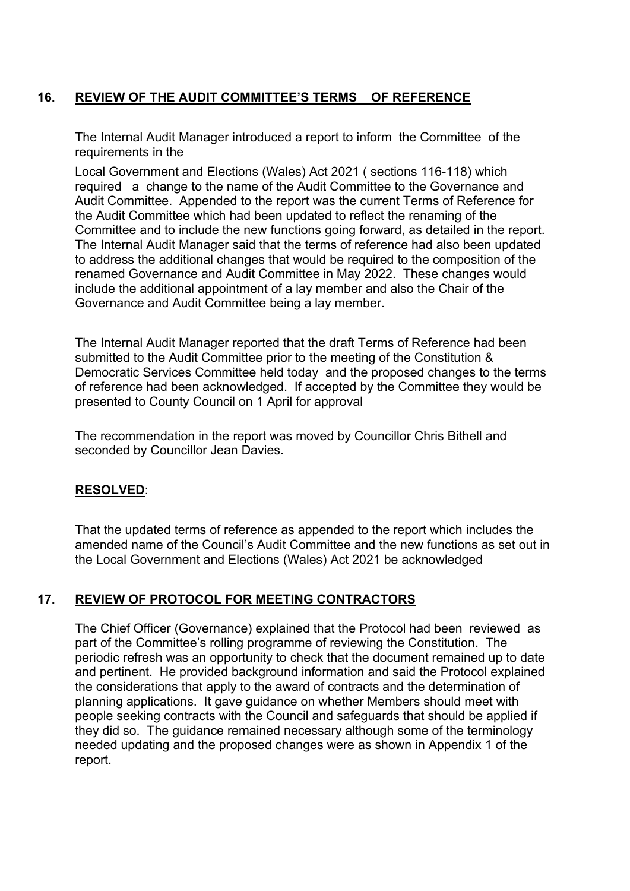# **16. REVIEW OF THE AUDIT COMMITTEE'S TERMS OF REFERENCE**

The Internal Audit Manager introduced a report to inform the Committee of the requirements in the

Local Government and Elections (Wales) Act 2021 ( sections 116-118) which required a change to the name of the Audit Committee to the Governance and Audit Committee. Appended to the report was the current Terms of Reference for the Audit Committee which had been updated to reflect the renaming of the Committee and to include the new functions going forward, as detailed in the report. The Internal Audit Manager said that the terms of reference had also been updated to address the additional changes that would be required to the composition of the renamed Governance and Audit Committee in May 2022. These changes would include the additional appointment of a lay member and also the Chair of the Governance and Audit Committee being a lay member.

The Internal Audit Manager reported that the draft Terms of Reference had been submitted to the Audit Committee prior to the meeting of the Constitution & Democratic Services Committee held today and the proposed changes to the terms of reference had been acknowledged. If accepted by the Committee they would be presented to County Council on 1 April for approval

The recommendation in the report was moved by Councillor Chris Bithell and seconded by Councillor Jean Davies.

### **RESOLVED**:

That the updated terms of reference as appended to the report which includes the amended name of the Council's Audit Committee and the new functions as set out in the Local Government and Elections (Wales) Act 2021 be acknowledged

### **17. REVIEW OF PROTOCOL FOR MEETING CONTRACTORS**

The Chief Officer (Governance) explained that the Protocol had been reviewed as part of the Committee's rolling programme of reviewing the Constitution. The periodic refresh was an opportunity to check that the document remained up to date and pertinent. He provided background information and said the Protocol explained the considerations that apply to the award of contracts and the determination of planning applications. It gave guidance on whether Members should meet with people seeking contracts with the Council and safeguards that should be applied if they did so. The guidance remained necessary although some of the terminology needed updating and the proposed changes were as shown in Appendix 1 of the report.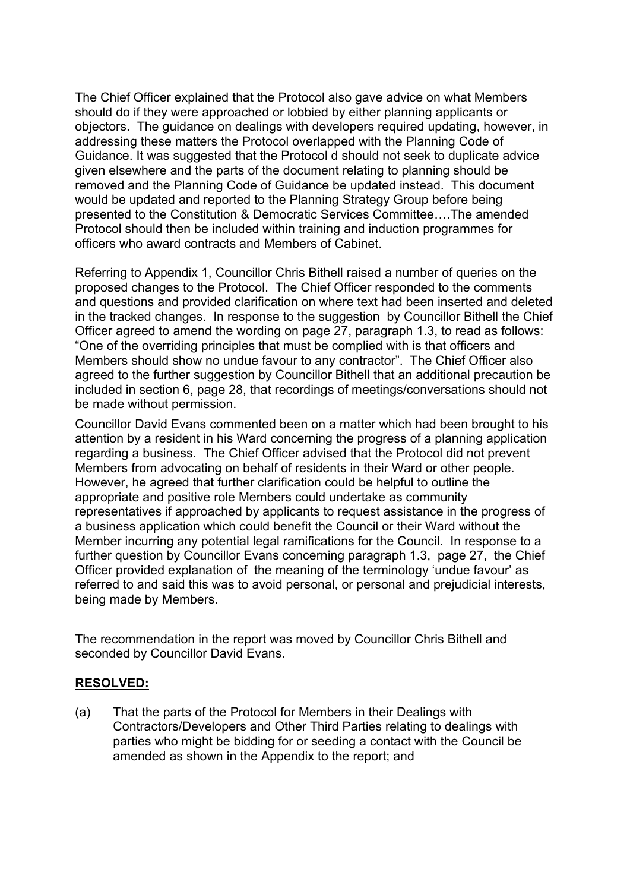The Chief Officer explained that the Protocol also gave advice on what Members should do if they were approached or lobbied by either planning applicants or objectors. The guidance on dealings with developers required updating, however, in addressing these matters the Protocol overlapped with the Planning Code of Guidance. It was suggested that the Protocol d should not seek to duplicate advice given elsewhere and the parts of the document relating to planning should be removed and the Planning Code of Guidance be updated instead. This document would be updated and reported to the Planning Strategy Group before being presented to the Constitution & Democratic Services Committee….The amended Protocol should then be included within training and induction programmes for officers who award contracts and Members of Cabinet.

Referring to Appendix 1, Councillor Chris Bithell raised a number of queries on the proposed changes to the Protocol. The Chief Officer responded to the comments and questions and provided clarification on where text had been inserted and deleted in the tracked changes. In response to the suggestion by Councillor Bithell the Chief Officer agreed to amend the wording on page 27, paragraph 1.3, to read as follows: "One of the overriding principles that must be complied with is that officers and Members should show no undue favour to any contractor". The Chief Officer also agreed to the further suggestion by Councillor Bithell that an additional precaution be included in section 6, page 28, that recordings of meetings/conversations should not be made without permission.

Councillor David Evans commented been on a matter which had been brought to his attention by a resident in his Ward concerning the progress of a planning application regarding a business. The Chief Officer advised that the Protocol did not prevent Members from advocating on behalf of residents in their Ward or other people. However, he agreed that further clarification could be helpful to outline the appropriate and positive role Members could undertake as community representatives if approached by applicants to request assistance in the progress of a business application which could benefit the Council or their Ward without the Member incurring any potential legal ramifications for the Council. In response to a further question by Councillor Evans concerning paragraph 1.3, page 27, the Chief Officer provided explanation of the meaning of the terminology 'undue favour' as referred to and said this was to avoid personal, or personal and prejudicial interests, being made by Members.

The recommendation in the report was moved by Councillor Chris Bithell and seconded by Councillor David Evans.

#### **RESOLVED:**

(a) That the parts of the Protocol for Members in their Dealings with Contractors/Developers and Other Third Parties relating to dealings with parties who might be bidding for or seeding a contact with the Council be amended as shown in the Appendix to the report; and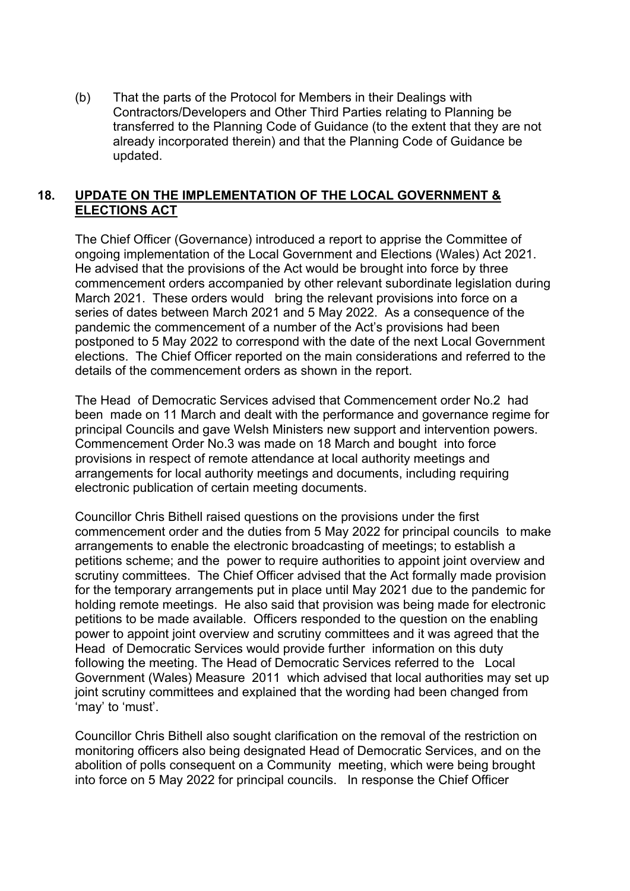(b) That the parts of the Protocol for Members in their Dealings with Contractors/Developers and Other Third Parties relating to Planning be transferred to the Planning Code of Guidance (to the extent that they are not already incorporated therein) and that the Planning Code of Guidance be updated.

# **18. UPDATE ON THE IMPLEMENTATION OF THE LOCAL GOVERNMENT & ELECTIONS ACT**

The Chief Officer (Governance) introduced a report to apprise the Committee of ongoing implementation of the Local Government and Elections (Wales) Act 2021. He advised that the provisions of the Act would be brought into force by three commencement orders accompanied by other relevant subordinate legislation during March 2021. These orders would bring the relevant provisions into force on a series of dates between March 2021 and 5 May 2022. As a consequence of the pandemic the commencement of a number of the Act's provisions had been postponed to 5 May 2022 to correspond with the date of the next Local Government elections. The Chief Officer reported on the main considerations and referred to the details of the commencement orders as shown in the report.

The Head of Democratic Services advised that Commencement order No.2 had been made on 11 March and dealt with the performance and governance regime for principal Councils and gave Welsh Ministers new support and intervention powers. Commencement Order No.3 was made on 18 March and bought into force provisions in respect of remote attendance at local authority meetings and arrangements for local authority meetings and documents, including requiring electronic publication of certain meeting documents.

Councillor Chris Bithell raised questions on the provisions under the first commencement order and the duties from 5 May 2022 for principal councils to make arrangements to enable the electronic broadcasting of meetings; to establish a petitions scheme; and the power to require authorities to appoint joint overview and scrutiny committees. The Chief Officer advised that the Act formally made provision for the temporary arrangements put in place until May 2021 due to the pandemic for holding remote meetings. He also said that provision was being made for electronic petitions to be made available. Officers responded to the question on the enabling power to appoint joint overview and scrutiny committees and it was agreed that the Head of Democratic Services would provide further information on this duty following the meeting. The Head of Democratic Services referred to the Local Government (Wales) Measure 2011 which advised that local authorities may set up joint scrutiny committees and explained that the wording had been changed from 'may' to 'must'.

Councillor Chris Bithell also sought clarification on the removal of the restriction on monitoring officers also being designated Head of Democratic Services, and on the abolition of polls consequent on a Community meeting, which were being brought into force on 5 May 2022 for principal councils. In response the Chief Officer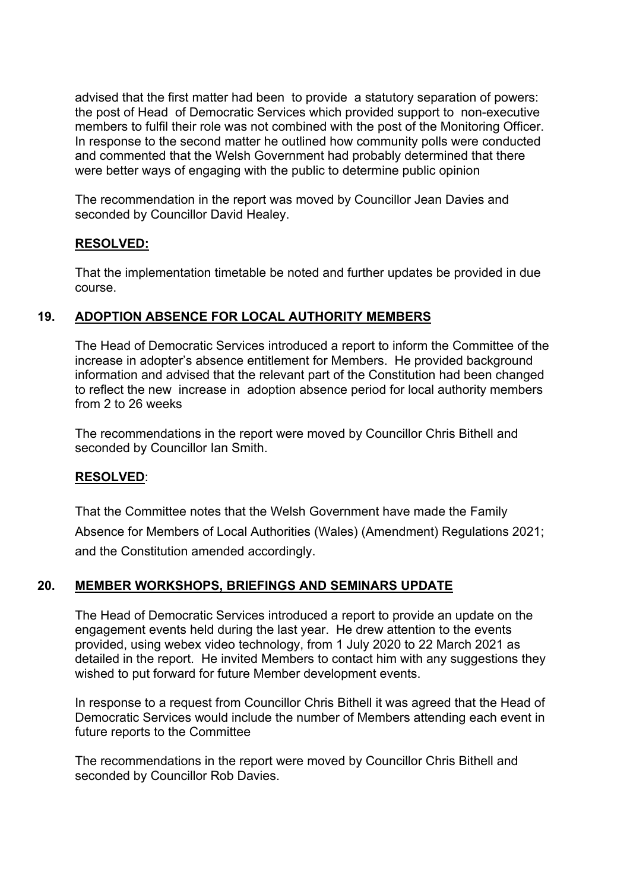advised that the first matter had been to provide a statutory separation of powers: the post of Head of Democratic Services which provided support to non-executive members to fulfil their role was not combined with the post of the Monitoring Officer. In response to the second matter he outlined how community polls were conducted and commented that the Welsh Government had probably determined that there were better ways of engaging with the public to determine public opinion

The recommendation in the report was moved by Councillor Jean Davies and seconded by Councillor David Healey.

# **RESOLVED:**

That the implementation timetable be noted and further updates be provided in due course.

# **19. ADOPTION ABSENCE FOR LOCAL AUTHORITY MEMBERS**

 The Head of Democratic Services introduced a report to inform the Committee of the increase in adopter's absence entitlement for Members. He provided background information and advised that the relevant part of the Constitution had been changed to reflect the new increase in adoption absence period for local authority members from 2 to 26 weeks

The recommendations in the report were moved by Councillor Chris Bithell and seconded by Councillor Ian Smith.

### **RESOLVED**:

That the Committee notes that the Welsh Government have made the Family Absence for Members of Local Authorities (Wales) (Amendment) Regulations 2021; and the Constitution amended accordingly.

# **20. MEMBER WORKSHOPS, BRIEFINGS AND SEMINARS UPDATE**

The Head of Democratic Services introduced a report to provide an update on the engagement events held during the last year. He drew attention to the events provided, using webex video technology, from 1 July 2020 to 22 March 2021 as detailed in the report. He invited Members to contact him with any suggestions they wished to put forward for future Member development events.

In response to a request from Councillor Chris Bithell it was agreed that the Head of Democratic Services would include the number of Members attending each event in future reports to the Committee

The recommendations in the report were moved by Councillor Chris Bithell and seconded by Councillor Rob Davies.